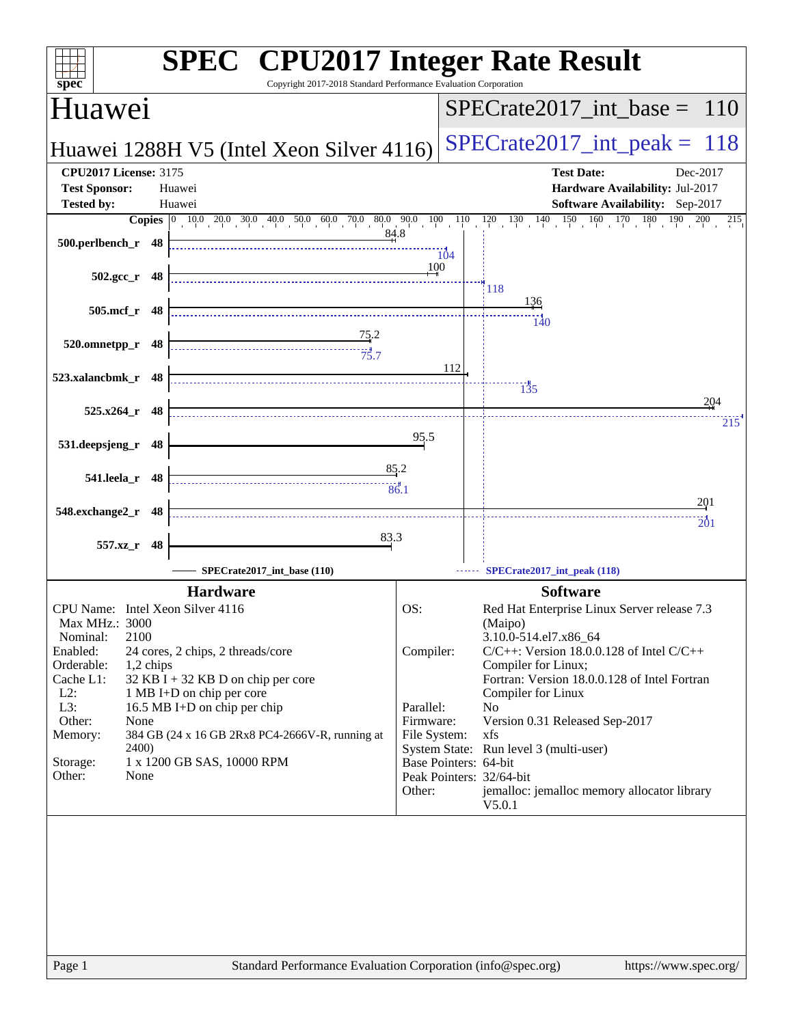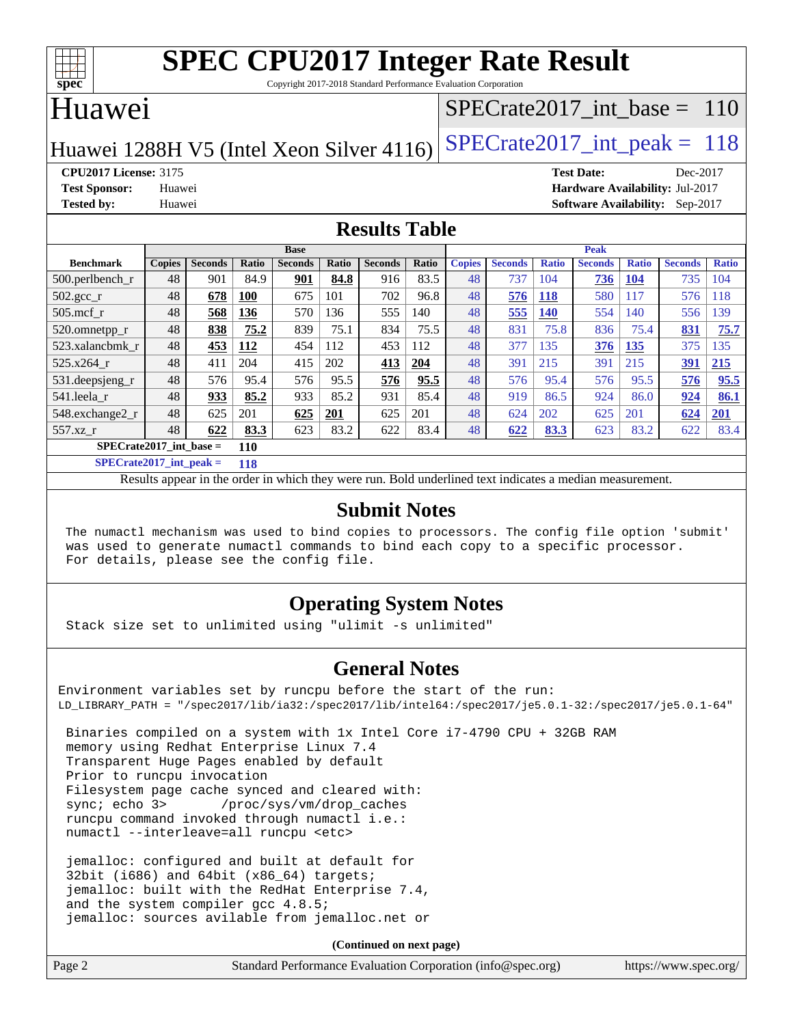

Copyright 2017-2018 Standard Performance Evaluation Corporation

### Huawei

### [SPECrate2017\\_int\\_base =](http://www.spec.org/auto/cpu2017/Docs/result-fields.html#SPECrate2017intbase) 110

Huawei 1288H V5 (Intel Xeon Silver 4116) SPECrate  $2017$  int peak = 118

**[CPU2017 License:](http://www.spec.org/auto/cpu2017/Docs/result-fields.html#CPU2017License)** 3175 **[Test Date:](http://www.spec.org/auto/cpu2017/Docs/result-fields.html#TestDate)** Dec-2017 **[Test Sponsor:](http://www.spec.org/auto/cpu2017/Docs/result-fields.html#TestSponsor)** Huawei **[Hardware Availability:](http://www.spec.org/auto/cpu2017/Docs/result-fields.html#HardwareAvailability)** Jul-2017 **[Tested by:](http://www.spec.org/auto/cpu2017/Docs/result-fields.html#Testedby)** Huawei **[Software Availability:](http://www.spec.org/auto/cpu2017/Docs/result-fields.html#SoftwareAvailability)** Sep-2017

#### **[Results Table](http://www.spec.org/auto/cpu2017/Docs/result-fields.html#ResultsTable)**

|                                  | <b>Base</b>   |                |              |                |              | <b>Peak</b>    |       |               |                |              |                |              |                |              |
|----------------------------------|---------------|----------------|--------------|----------------|--------------|----------------|-------|---------------|----------------|--------------|----------------|--------------|----------------|--------------|
| <b>Benchmark</b>                 | <b>Copies</b> | <b>Seconds</b> | <b>Ratio</b> | <b>Seconds</b> | <b>Ratio</b> | <b>Seconds</b> | Ratio | <b>Copies</b> | <b>Seconds</b> | <b>Ratio</b> | <b>Seconds</b> | <b>Ratio</b> | <b>Seconds</b> | <b>Ratio</b> |
| $500.$ perlbench_r               | 48            | 901            | 84.9         | 901            | 84.8         | 916            | 83.5  | 48            | 737            | 104          | 736            | <b>104</b>   | 735            | 104          |
| 502.gcc_r                        | 48            | 678            | 100          | 675            | 101          | 702            | 96.8  | 48            | 576            | <b>118</b>   | 580            | 117          | 576            | 118          |
| $505$ .mcf r                     | 48            | 568            | 136          | 570            | 136          | 555            | 140   | 48            | 555            | <b>140</b>   | 554            | 140          | 556            | 139          |
| 520.omnetpp_r                    | 48            | 838            | 75.2         | 839            | 75.1         | 834            | 75.5  | 48            | 831            | 75.8         | 836            | 75.4         | 831            | 75.7         |
| 523.xalancbmk r                  | 48            | 453            | 112          | 454            | 112          | 453            | 112   | 48            | 377            | 135          | 376            | 135          | 375            | 135          |
| 525.x264 r                       | 48            | 411            | 204          | 415            | 202          | 413            | 204   | 48            | 391            | 215          | 391            | 215          | 391            | 215          |
| 531.deepsjeng_r                  | 48            | 576            | 95.4         | 576            | 95.5         | 576            | 95.5  | 48            | 576            | 95.4         | 576            | 95.5         | 576            | 95.5         |
| 541.leela r                      | 48            | 933            | 85.2         | 933            | 85.2         | 931            | 85.4  | 48            | 919            | 86.5         | 924            | 86.0         | 924            | 86.1         |
| 548.exchange2_r                  | 48            | 625            | 201          | 625            | 201          | 625            | 201   | 48            | 624            | 202          | 625            | 201          | 624            | <b>201</b>   |
| 557.xz r                         | 48            | 622            | 83.3         | 623            | 83.2         | 622            | 83.4  | 48            | 622            | 83.3         | 623            | 83.2         | 622            | 83.4         |
| $SPECrate2017$ int base =<br>110 |               |                |              |                |              |                |       |               |                |              |                |              |                |              |

**[SPECrate2017\\_int\\_peak =](http://www.spec.org/auto/cpu2017/Docs/result-fields.html#SPECrate2017intpeak) 118**

Results appear in the [order in which they were run.](http://www.spec.org/auto/cpu2017/Docs/result-fields.html#RunOrder) Bold underlined text [indicates a median measurement.](http://www.spec.org/auto/cpu2017/Docs/result-fields.html#Median)

#### **[Submit Notes](http://www.spec.org/auto/cpu2017/Docs/result-fields.html#SubmitNotes)**

 The numactl mechanism was used to bind copies to processors. The config file option 'submit' was used to generate numactl commands to bind each copy to a specific processor. For details, please see the config file.

### **[Operating System Notes](http://www.spec.org/auto/cpu2017/Docs/result-fields.html#OperatingSystemNotes)**

Stack size set to unlimited using "ulimit -s unlimited"

### **[General Notes](http://www.spec.org/auto/cpu2017/Docs/result-fields.html#GeneralNotes)**

Environment variables set by runcpu before the start of the run: LD\_LIBRARY\_PATH = "/spec2017/lib/ia32:/spec2017/lib/intel64:/spec2017/je5.0.1-32:/spec2017/je5.0.1-64"

 Binaries compiled on a system with 1x Intel Core i7-4790 CPU + 32GB RAM memory using Redhat Enterprise Linux 7.4 Transparent Huge Pages enabled by default Prior to runcpu invocation Filesystem page cache synced and cleared with: sync; echo 3> /proc/sys/vm/drop\_caches runcpu command invoked through numactl i.e.: numactl --interleave=all runcpu <etc>

 jemalloc: configured and built at default for 32bit (i686) and 64bit (x86\_64) targets; jemalloc: built with the RedHat Enterprise 7.4, and the system compiler gcc 4.8.5; jemalloc: sources avilable from jemalloc.net or

**(Continued on next page)**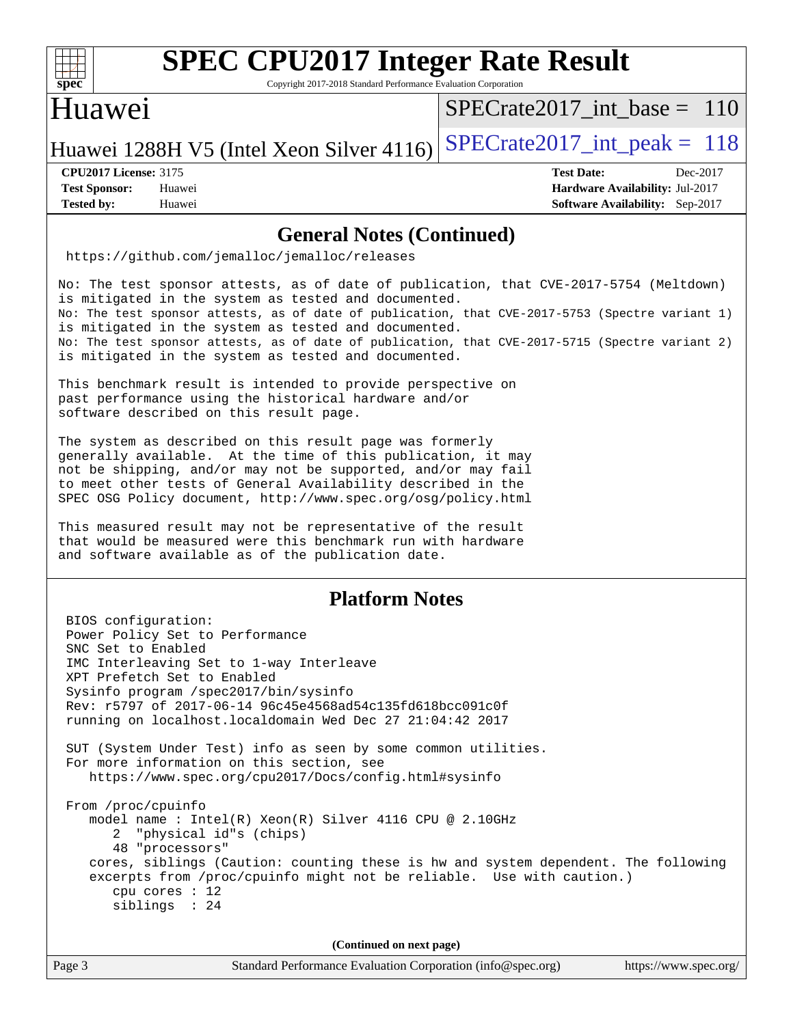

Copyright 2017-2018 Standard Performance Evaluation Corporation

### Huawei

[SPECrate2017\\_int\\_base =](http://www.spec.org/auto/cpu2017/Docs/result-fields.html#SPECrate2017intbase) 110

Huawei 1288H V5 (Intel Xeon Silver 4116) SPECrate  $2017$  int peak = 118

**[CPU2017 License:](http://www.spec.org/auto/cpu2017/Docs/result-fields.html#CPU2017License)** 3175 **[Test Date:](http://www.spec.org/auto/cpu2017/Docs/result-fields.html#TestDate)** Dec-2017

**[Test Sponsor:](http://www.spec.org/auto/cpu2017/Docs/result-fields.html#TestSponsor)** Huawei **[Hardware Availability:](http://www.spec.org/auto/cpu2017/Docs/result-fields.html#HardwareAvailability)** Jul-2017 **[Tested by:](http://www.spec.org/auto/cpu2017/Docs/result-fields.html#Testedby)** Huawei **[Software Availability:](http://www.spec.org/auto/cpu2017/Docs/result-fields.html#SoftwareAvailability)** Sep-2017

#### **[General Notes \(Continued\)](http://www.spec.org/auto/cpu2017/Docs/result-fields.html#GeneralNotes)**

<https://github.com/jemalloc/jemalloc/releases>

No: The test sponsor attests, as of date of publication, that CVE-2017-5754 (Meltdown) is mitigated in the system as tested and documented. No: The test sponsor attests, as of date of publication, that CVE-2017-5753 (Spectre variant 1) is mitigated in the system as tested and documented. No: The test sponsor attests, as of date of publication, that CVE-2017-5715 (Spectre variant 2) is mitigated in the system as tested and documented.

This benchmark result is intended to provide perspective on past performance using the historical hardware and/or software described on this result page.

The system as described on this result page was formerly generally available. At the time of this publication, it may not be shipping, and/or may not be supported, and/or may fail to meet other tests of General Availability described in the SPEC OSG Policy document, <http://www.spec.org/osg/policy.html>

This measured result may not be representative of the result that would be measured were this benchmark run with hardware and software available as of the publication date.

### **[Platform Notes](http://www.spec.org/auto/cpu2017/Docs/result-fields.html#PlatformNotes)**

 BIOS configuration: Power Policy Set to Performance SNC Set to Enabled IMC Interleaving Set to 1-way Interleave XPT Prefetch Set to Enabled Sysinfo program /spec2017/bin/sysinfo Rev: r5797 of 2017-06-14 96c45e4568ad54c135fd618bcc091c0f running on localhost.localdomain Wed Dec 27 21:04:42 2017 SUT (System Under Test) info as seen by some common utilities. For more information on this section, see <https://www.spec.org/cpu2017/Docs/config.html#sysinfo> From /proc/cpuinfo model name : Intel(R) Xeon(R) Silver 4116 CPU @ 2.10GHz 2 "physical id"s (chips) 48 "processors" cores, siblings (Caution: counting these is hw and system dependent. The following excerpts from /proc/cpuinfo might not be reliable. Use with caution.) cpu cores : 12 siblings : 24 **(Continued on next page)**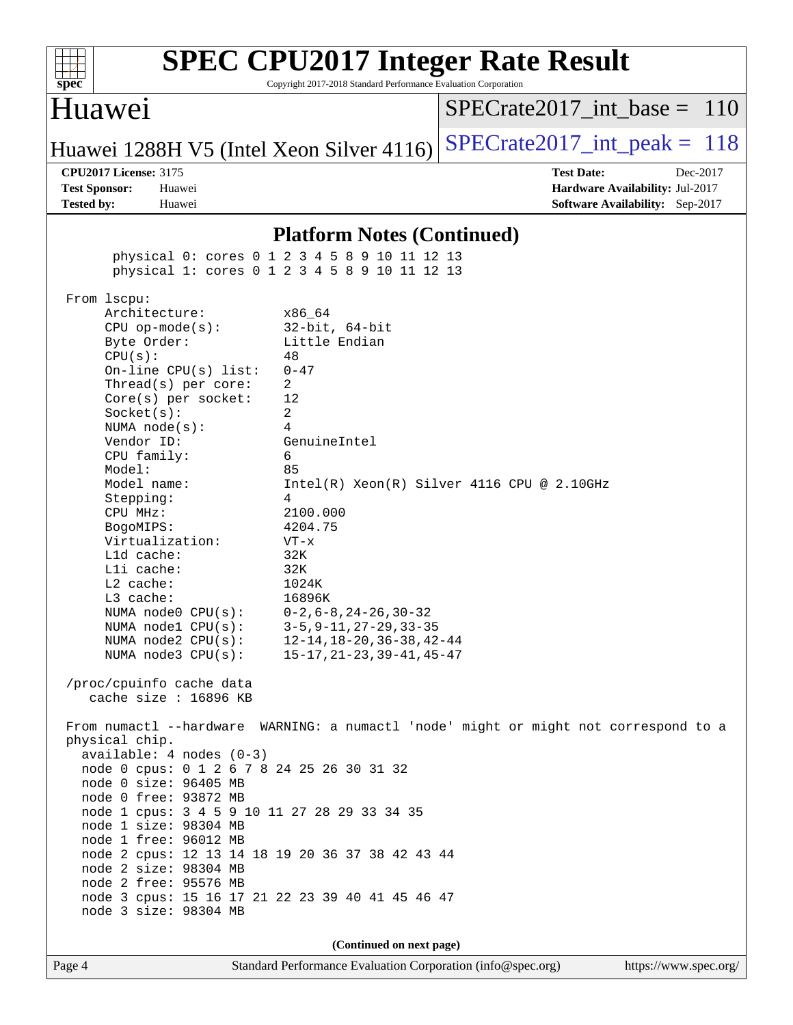| SI<br>эe<br>I<br>Ľ |  |  |  |  |  |  |  |
|--------------------|--|--|--|--|--|--|--|

Copyright 2017-2018 Standard Performance Evaluation Corporation

### Huawei

[SPECrate2017\\_int\\_base =](http://www.spec.org/auto/cpu2017/Docs/result-fields.html#SPECrate2017intbase) 110

Huawei 1288H V5 (Intel Xeon Silver 4116) SPECrate  $2017$  int peak = 118

**[Tested by:](http://www.spec.org/auto/cpu2017/Docs/result-fields.html#Testedby)** Huawei **[Software Availability:](http://www.spec.org/auto/cpu2017/Docs/result-fields.html#SoftwareAvailability)** Sep-2017

**[CPU2017 License:](http://www.spec.org/auto/cpu2017/Docs/result-fields.html#CPU2017License)** 3175 **[Test Date:](http://www.spec.org/auto/cpu2017/Docs/result-fields.html#TestDate)** Dec-2017 **[Test Sponsor:](http://www.spec.org/auto/cpu2017/Docs/result-fields.html#TestSponsor)** Huawei **[Hardware Availability:](http://www.spec.org/auto/cpu2017/Docs/result-fields.html#HardwareAvailability)** Jul-2017

#### **[Platform Notes \(Continued\)](http://www.spec.org/auto/cpu2017/Docs/result-fields.html#PlatformNotes)**

 physical 0: cores 0 1 2 3 4 5 8 9 10 11 12 13 physical 1: cores 0 1 2 3 4 5 8 9 10 11 12 13 From lscpu: Architecture: x86\_64 CPU op-mode(s): 32-bit, 64-bit Byte Order: Little Endian  $CPU(s):$  48 On-line CPU(s) list: 0-47 Thread(s) per core: 2 Core(s) per socket: 12 Socket(s): 2 NUMA node(s): 4 Vendor ID: GenuineIntel CPU family: 6 Model: 85 Model name:  $Intel(R)$  Xeon(R) Silver 4116 CPU @ 2.10GHz Stepping: 4 CPU MHz: 2100.000<br>BogoMIPS: 4204.75 BogoMIPS: Virtualization: VT-x L1d cache: 32K L1i cache: 32K L2 cache: 1024K L3 cache: 16896K NUMA node0 CPU(s): 0-2,6-8,24-26,30-32 NUMA node1 CPU(s): 3-5,9-11,27-29,33-35 NUMA node2 CPU(s): 12-14,18-20,36-38,42-44 NUMA node3 CPU(s): 15-17,21-23,39-41,45-47 /proc/cpuinfo cache data cache size : 16896 KB From numactl --hardware WARNING: a numactl 'node' might or might not correspond to a physical chip. available: 4 nodes (0-3) node 0 cpus: 0 1 2 6 7 8 24 25 26 30 31 32 node 0 size: 96405 MB node 0 free: 93872 MB node 1 cpus: 3 4 5 9 10 11 27 28 29 33 34 35 node 1 size: 98304 MB node 1 free: 96012 MB node 2 cpus: 12 13 14 18 19 20 36 37 38 42 43 44 node 2 size: 98304 MB node 2 free: 95576 MB node 3 cpus: 15 16 17 21 22 23 39 40 41 45 46 47 node 3 size: 98304 MB **(Continued on next page)**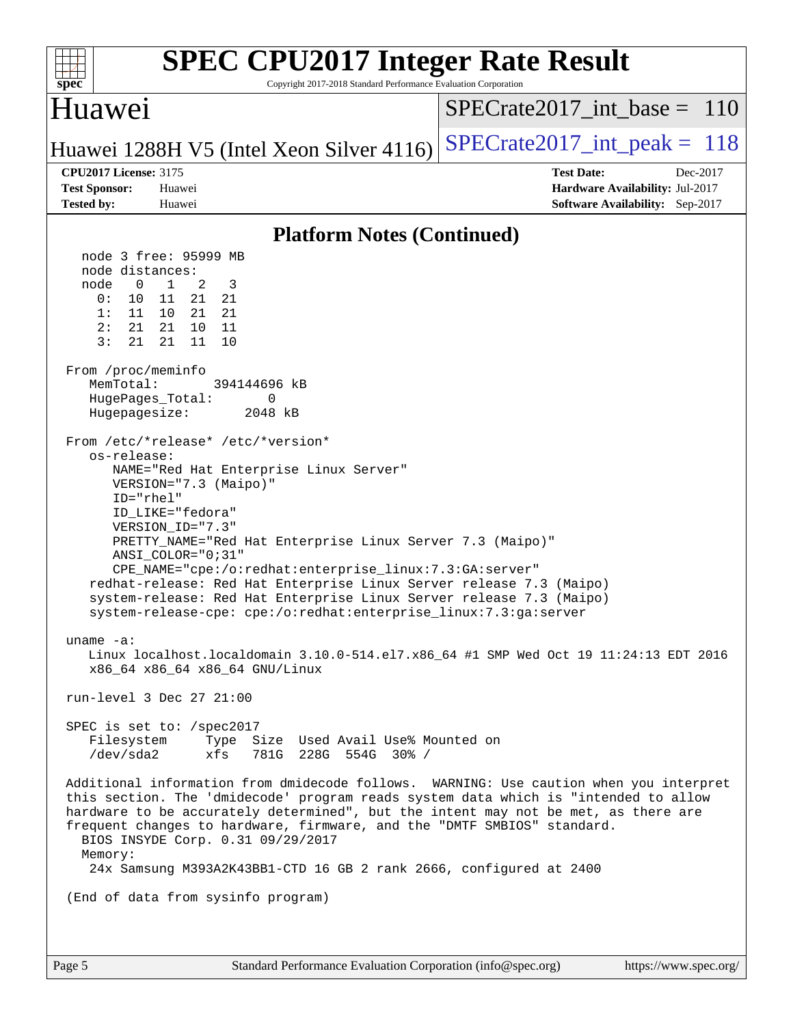| <b>SPEC CPU2017 Integer Rate Result</b><br>Copyright 2017-2018 Standard Performance Evaluation Corporation<br>$spec^*$                                                                                                                                                                                                                                                                                                                                                                                                                                                                                                                                                                                                                                                                                                                                                                                                                                                                                                                                                                                                                                                                                                                                                                                                                                                                                                                                                                                                                                                                                                                                                                           |                                                                                                     |
|--------------------------------------------------------------------------------------------------------------------------------------------------------------------------------------------------------------------------------------------------------------------------------------------------------------------------------------------------------------------------------------------------------------------------------------------------------------------------------------------------------------------------------------------------------------------------------------------------------------------------------------------------------------------------------------------------------------------------------------------------------------------------------------------------------------------------------------------------------------------------------------------------------------------------------------------------------------------------------------------------------------------------------------------------------------------------------------------------------------------------------------------------------------------------------------------------------------------------------------------------------------------------------------------------------------------------------------------------------------------------------------------------------------------------------------------------------------------------------------------------------------------------------------------------------------------------------------------------------------------------------------------------------------------------------------------------|-----------------------------------------------------------------------------------------------------|
| Huawei                                                                                                                                                                                                                                                                                                                                                                                                                                                                                                                                                                                                                                                                                                                                                                                                                                                                                                                                                                                                                                                                                                                                                                                                                                                                                                                                                                                                                                                                                                                                                                                                                                                                                           | $SPECrate2017\_int\_base = 110$                                                                     |
| Huawei 1288H V5 (Intel Xeon Silver 4116)                                                                                                                                                                                                                                                                                                                                                                                                                                                                                                                                                                                                                                                                                                                                                                                                                                                                                                                                                                                                                                                                                                                                                                                                                                                                                                                                                                                                                                                                                                                                                                                                                                                         | $SPECTate2017$ _int_peak = 118                                                                      |
| <b>CPU2017 License: 3175</b><br><b>Test Sponsor:</b><br>Huawei<br><b>Tested by:</b><br>Huawei                                                                                                                                                                                                                                                                                                                                                                                                                                                                                                                                                                                                                                                                                                                                                                                                                                                                                                                                                                                                                                                                                                                                                                                                                                                                                                                                                                                                                                                                                                                                                                                                    | <b>Test Date:</b><br>Dec-2017<br>Hardware Availability: Jul-2017<br>Software Availability: Sep-2017 |
| <b>Platform Notes (Continued)</b>                                                                                                                                                                                                                                                                                                                                                                                                                                                                                                                                                                                                                                                                                                                                                                                                                                                                                                                                                                                                                                                                                                                                                                                                                                                                                                                                                                                                                                                                                                                                                                                                                                                                |                                                                                                     |
| node 3 free: 95999 MB<br>node distances:<br>$\overline{0}$<br>$\mathbf{1}$<br>2<br>3<br>node<br>0:<br>11<br>21<br>21<br>10<br>1:<br>11<br>21<br>21<br>10<br>2:<br>21<br>21<br>10<br>11<br>3:<br>21<br>21<br>10<br>11<br>From /proc/meminfo<br>MemTotal:<br>394144696 kB<br>HugePages_Total:<br>0<br>Hugepagesize:<br>2048 kB<br>From /etc/*release* /etc/*version*<br>os-release:<br>NAME="Red Hat Enterprise Linux Server"<br>VERSION="7.3 (Maipo)"<br>ID="rhel"<br>ID_LIKE="fedora"<br>VERSION_ID="7.3"<br>PRETTY_NAME="Red Hat Enterprise Linux Server 7.3 (Maipo)"<br>$ANSI$ _COLOR=" $0:31$ "<br>CPE_NAME="cpe:/o:redhat:enterprise_linux:7.3:GA:server"<br>redhat-release: Red Hat Enterprise Linux Server release 7.3 (Maipo)<br>system-release: Red Hat Enterprise Linux Server release 7.3 (Maipo)<br>system-release-cpe: cpe:/o:redhat:enterprise_linux:7.3:ga:server<br>uname $-a$ :<br>Linux localhost.localdomain 3.10.0-514.el7.x86_64 #1 SMP Wed Oct 19 11:24:13 EDT 2016<br>x86_64 x86_64 x86_64 GNU/Linux<br>run-level 3 Dec 27 21:00<br>SPEC is set to: /spec2017<br>Filesystem Type Size Used Avail Use% Mounted on<br>/dev/sda2<br>xfs<br>781G 228G 554G 30% /<br>Additional information from dmidecode follows. WARNING: Use caution when you interpret<br>this section. The 'dmidecode' program reads system data which is "intended to allow<br>hardware to be accurately determined", but the intent may not be met, as there are<br>frequent changes to hardware, firmware, and the "DMTF SMBIOS" standard.<br>BIOS INSYDE Corp. 0.31 09/29/2017<br>Memory:<br>24x Samsung M393A2K43BB1-CTD 16 GB 2 rank 2666, configured at 2400<br>(End of data from sysinfo program) |                                                                                                     |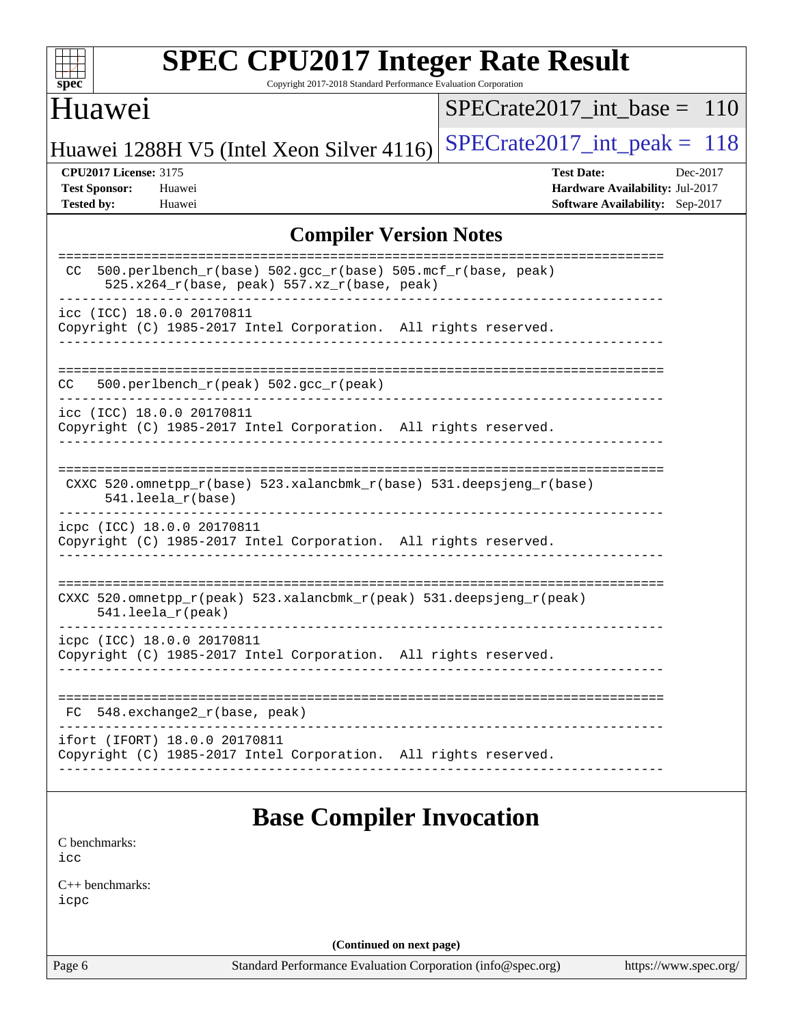| <b>SPEC CPU2017 Integer Rate Result</b>                                                                                                                    |                                                                                                     |
|------------------------------------------------------------------------------------------------------------------------------------------------------------|-----------------------------------------------------------------------------------------------------|
| spec <sup>®</sup><br>Copyright 2017-2018 Standard Performance Evaluation Corporation<br>Huawei                                                             | $SPECrate2017\_int\_base = 110$                                                                     |
| Huawei 1288H V5 (Intel Xeon Silver 4116)                                                                                                                   | $SPECrate2017\_int\_peak = 118$                                                                     |
| <b>CPU2017 License: 3175</b><br><b>Test Sponsor:</b><br>Huawei<br><b>Tested by:</b><br>Huawei                                                              | <b>Test Date:</b><br>Dec-2017<br>Hardware Availability: Jul-2017<br>Software Availability: Sep-2017 |
| <b>Compiler Version Notes</b>                                                                                                                              |                                                                                                     |
| $500. perlbench_r(base) 502. gcc_r(base) 505.mcf_r(base, peak)$<br>CC<br>525.x264_r(base, peak) 557.xz_r(base, peak)                                       | ===========================                                                                         |
| icc (ICC) 18.0.0 20170811<br>Copyright (C) 1985-2017 Intel Corporation. All rights reserved.                                                               |                                                                                                     |
| 500.perlbench_r(peak) 502.gcc_r(peak)<br>CC.                                                                                                               | ________________________________                                                                    |
| icc (ICC) 18.0.0 20170811<br>Copyright (C) 1985-2017 Intel Corporation. All rights reserved.                                                               |                                                                                                     |
| CXXC 520.omnetpp_r(base) 523.xalancbmk_r(base) 531.deepsjeng_r(base)<br>541.leela_r(base)                                                                  |                                                                                                     |
| icpc (ICC) 18.0.0 20170811<br>Copyright (C) 1985-2017 Intel Corporation. All rights reserved.                                                              |                                                                                                     |
| CXXC 520.omnetpp_r(peak) 523.xalancbmk_r(peak) 531.deepsjeng_r(peak)<br>541.leela_r(peak)                                                                  | ==========================                                                                          |
| --------------------<br>icpc (ICC) 18.0.0 20170811<br>Copyright (C) 1985-2017 Intel Corporation. All rights reserved.<br>_________________________________ |                                                                                                     |
| 548.exchange2_r(base, peak)<br>FC.                                                                                                                         |                                                                                                     |
| ifort (IFORT) 18.0.0 20170811<br>Copyright (C) 1985-2017 Intel Corporation. All rights reserved.                                                           |                                                                                                     |
| <b>Base Compiler Invocation</b>                                                                                                                            |                                                                                                     |

[icc](http://www.spec.org/cpu2017/results/res2018q1/cpu2017-20180105-02470.flags.html#user_CCbase_intel_icc_18.0_66fc1ee009f7361af1fbd72ca7dcefbb700085f36577c54f309893dd4ec40d12360134090235512931783d35fd58c0460139e722d5067c5574d8eaf2b3e37e92) [C++ benchmarks:](http://www.spec.org/auto/cpu2017/Docs/result-fields.html#CXXbenchmarks)

[C benchmarks](http://www.spec.org/auto/cpu2017/Docs/result-fields.html#Cbenchmarks):

[icpc](http://www.spec.org/cpu2017/results/res2018q1/cpu2017-20180105-02470.flags.html#user_CXXbase_intel_icpc_18.0_c510b6838c7f56d33e37e94d029a35b4a7bccf4766a728ee175e80a419847e808290a9b78be685c44ab727ea267ec2f070ec5dc83b407c0218cded6866a35d07)

**(Continued on next page)**

Page 6 Standard Performance Evaluation Corporation [\(info@spec.org\)](mailto:info@spec.org) <https://www.spec.org/>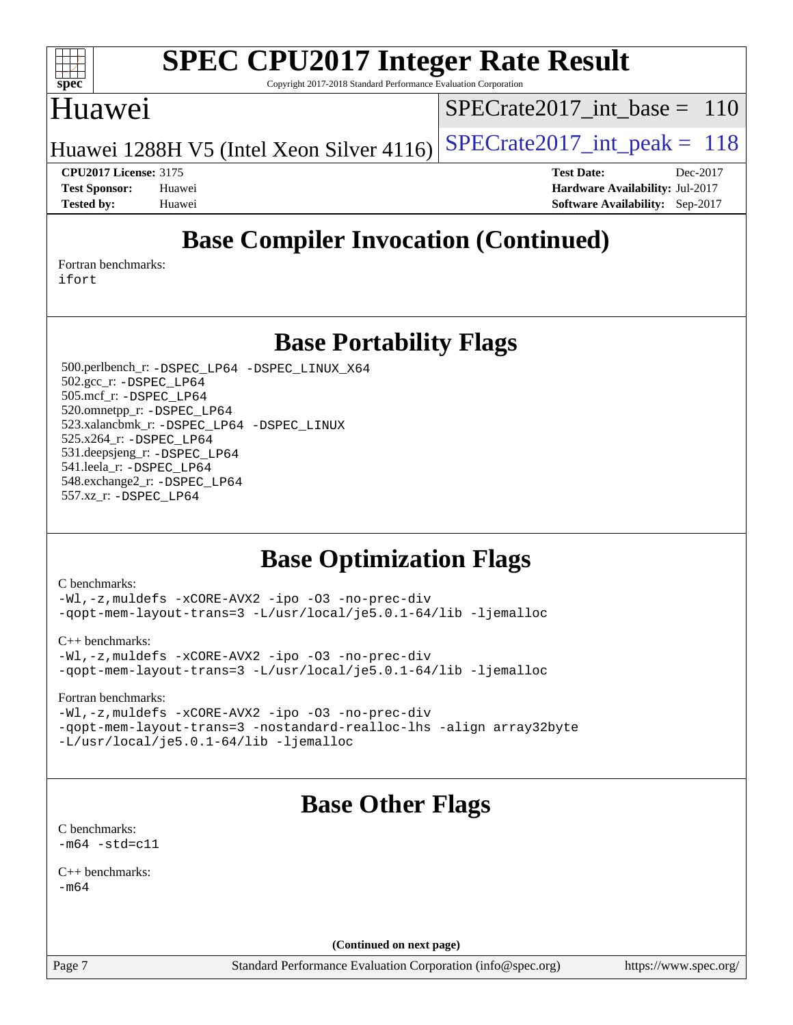

Copyright 2017-2018 Standard Performance Evaluation Corporation

### Huawei

[SPECrate2017\\_int\\_base =](http://www.spec.org/auto/cpu2017/Docs/result-fields.html#SPECrate2017intbase) 110

Huawei 1288H V5 (Intel Xeon Silver 4116) SPECrate  $2017$ \_int\_peak = 118

**[CPU2017 License:](http://www.spec.org/auto/cpu2017/Docs/result-fields.html#CPU2017License)** 3175 **[Test Date:](http://www.spec.org/auto/cpu2017/Docs/result-fields.html#TestDate)** Dec-2017

### **[Test Sponsor:](http://www.spec.org/auto/cpu2017/Docs/result-fields.html#TestSponsor)** Huawei **[Hardware Availability:](http://www.spec.org/auto/cpu2017/Docs/result-fields.html#HardwareAvailability)** Jul-2017 **[Tested by:](http://www.spec.org/auto/cpu2017/Docs/result-fields.html#Testedby)** Huawei **[Software Availability:](http://www.spec.org/auto/cpu2017/Docs/result-fields.html#SoftwareAvailability)** Sep-2017

## **[Base Compiler Invocation \(Continued\)](http://www.spec.org/auto/cpu2017/Docs/result-fields.html#BaseCompilerInvocation)**

[Fortran benchmarks](http://www.spec.org/auto/cpu2017/Docs/result-fields.html#Fortranbenchmarks): [ifort](http://www.spec.org/cpu2017/results/res2018q1/cpu2017-20180105-02470.flags.html#user_FCbase_intel_ifort_18.0_8111460550e3ca792625aed983ce982f94888b8b503583aa7ba2b8303487b4d8a21a13e7191a45c5fd58ff318f48f9492884d4413fa793fd88dd292cad7027ca)

**[Base Portability Flags](http://www.spec.org/auto/cpu2017/Docs/result-fields.html#BasePortabilityFlags)**

 500.perlbench\_r: [-DSPEC\\_LP64](http://www.spec.org/cpu2017/results/res2018q1/cpu2017-20180105-02470.flags.html#b500.perlbench_r_basePORTABILITY_DSPEC_LP64) [-DSPEC\\_LINUX\\_X64](http://www.spec.org/cpu2017/results/res2018q1/cpu2017-20180105-02470.flags.html#b500.perlbench_r_baseCPORTABILITY_DSPEC_LINUX_X64) 502.gcc\_r: [-DSPEC\\_LP64](http://www.spec.org/cpu2017/results/res2018q1/cpu2017-20180105-02470.flags.html#suite_basePORTABILITY502_gcc_r_DSPEC_LP64) 505.mcf\_r: [-DSPEC\\_LP64](http://www.spec.org/cpu2017/results/res2018q1/cpu2017-20180105-02470.flags.html#suite_basePORTABILITY505_mcf_r_DSPEC_LP64) 520.omnetpp\_r: [-DSPEC\\_LP64](http://www.spec.org/cpu2017/results/res2018q1/cpu2017-20180105-02470.flags.html#suite_basePORTABILITY520_omnetpp_r_DSPEC_LP64) 523.xalancbmk\_r: [-DSPEC\\_LP64](http://www.spec.org/cpu2017/results/res2018q1/cpu2017-20180105-02470.flags.html#suite_basePORTABILITY523_xalancbmk_r_DSPEC_LP64) [-DSPEC\\_LINUX](http://www.spec.org/cpu2017/results/res2018q1/cpu2017-20180105-02470.flags.html#b523.xalancbmk_r_baseCXXPORTABILITY_DSPEC_LINUX) 525.x264\_r: [-DSPEC\\_LP64](http://www.spec.org/cpu2017/results/res2018q1/cpu2017-20180105-02470.flags.html#suite_basePORTABILITY525_x264_r_DSPEC_LP64) 531.deepsjeng\_r: [-DSPEC\\_LP64](http://www.spec.org/cpu2017/results/res2018q1/cpu2017-20180105-02470.flags.html#suite_basePORTABILITY531_deepsjeng_r_DSPEC_LP64) 541.leela\_r: [-DSPEC\\_LP64](http://www.spec.org/cpu2017/results/res2018q1/cpu2017-20180105-02470.flags.html#suite_basePORTABILITY541_leela_r_DSPEC_LP64) 548.exchange2\_r: [-DSPEC\\_LP64](http://www.spec.org/cpu2017/results/res2018q1/cpu2017-20180105-02470.flags.html#suite_basePORTABILITY548_exchange2_r_DSPEC_LP64) 557.xz\_r: [-DSPEC\\_LP64](http://www.spec.org/cpu2017/results/res2018q1/cpu2017-20180105-02470.flags.html#suite_basePORTABILITY557_xz_r_DSPEC_LP64)

### **[Base Optimization Flags](http://www.spec.org/auto/cpu2017/Docs/result-fields.html#BaseOptimizationFlags)**

[C benchmarks](http://www.spec.org/auto/cpu2017/Docs/result-fields.html#Cbenchmarks):

[-Wl,-z,muldefs](http://www.spec.org/cpu2017/results/res2018q1/cpu2017-20180105-02470.flags.html#user_CCbase_link_force_multiple1_b4cbdb97b34bdee9ceefcfe54f4c8ea74255f0b02a4b23e853cdb0e18eb4525ac79b5a88067c842dd0ee6996c24547a27a4b99331201badda8798ef8a743f577) [-xCORE-AVX2](http://www.spec.org/cpu2017/results/res2018q1/cpu2017-20180105-02470.flags.html#user_CCbase_f-xCORE-AVX2) [-ipo](http://www.spec.org/cpu2017/results/res2018q1/cpu2017-20180105-02470.flags.html#user_CCbase_f-ipo) [-O3](http://www.spec.org/cpu2017/results/res2018q1/cpu2017-20180105-02470.flags.html#user_CCbase_f-O3) [-no-prec-div](http://www.spec.org/cpu2017/results/res2018q1/cpu2017-20180105-02470.flags.html#user_CCbase_f-no-prec-div) [-qopt-mem-layout-trans=3](http://www.spec.org/cpu2017/results/res2018q1/cpu2017-20180105-02470.flags.html#user_CCbase_f-qopt-mem-layout-trans_de80db37974c74b1f0e20d883f0b675c88c3b01e9d123adea9b28688d64333345fb62bc4a798493513fdb68f60282f9a726aa07f478b2f7113531aecce732043) [-L/usr/local/je5.0.1-64/lib](http://www.spec.org/cpu2017/results/res2018q1/cpu2017-20180105-02470.flags.html#user_CCbase_jemalloc_link_path64_4b10a636b7bce113509b17f3bd0d6226c5fb2346b9178c2d0232c14f04ab830f976640479e5c33dc2bcbbdad86ecfb6634cbbd4418746f06f368b512fced5394) [-ljemalloc](http://www.spec.org/cpu2017/results/res2018q1/cpu2017-20180105-02470.flags.html#user_CCbase_jemalloc_link_lib_d1249b907c500fa1c0672f44f562e3d0f79738ae9e3c4a9c376d49f265a04b9c99b167ecedbf6711b3085be911c67ff61f150a17b3472be731631ba4d0471706)

[C++ benchmarks:](http://www.spec.org/auto/cpu2017/Docs/result-fields.html#CXXbenchmarks) [-Wl,-z,muldefs](http://www.spec.org/cpu2017/results/res2018q1/cpu2017-20180105-02470.flags.html#user_CXXbase_link_force_multiple1_b4cbdb97b34bdee9ceefcfe54f4c8ea74255f0b02a4b23e853cdb0e18eb4525ac79b5a88067c842dd0ee6996c24547a27a4b99331201badda8798ef8a743f577) [-xCORE-AVX2](http://www.spec.org/cpu2017/results/res2018q1/cpu2017-20180105-02470.flags.html#user_CXXbase_f-xCORE-AVX2) [-ipo](http://www.spec.org/cpu2017/results/res2018q1/cpu2017-20180105-02470.flags.html#user_CXXbase_f-ipo) [-O3](http://www.spec.org/cpu2017/results/res2018q1/cpu2017-20180105-02470.flags.html#user_CXXbase_f-O3) [-no-prec-div](http://www.spec.org/cpu2017/results/res2018q1/cpu2017-20180105-02470.flags.html#user_CXXbase_f-no-prec-div) [-qopt-mem-layout-trans=3](http://www.spec.org/cpu2017/results/res2018q1/cpu2017-20180105-02470.flags.html#user_CXXbase_f-qopt-mem-layout-trans_de80db37974c74b1f0e20d883f0b675c88c3b01e9d123adea9b28688d64333345fb62bc4a798493513fdb68f60282f9a726aa07f478b2f7113531aecce732043) [-L/usr/local/je5.0.1-64/lib](http://www.spec.org/cpu2017/results/res2018q1/cpu2017-20180105-02470.flags.html#user_CXXbase_jemalloc_link_path64_4b10a636b7bce113509b17f3bd0d6226c5fb2346b9178c2d0232c14f04ab830f976640479e5c33dc2bcbbdad86ecfb6634cbbd4418746f06f368b512fced5394) [-ljemalloc](http://www.spec.org/cpu2017/results/res2018q1/cpu2017-20180105-02470.flags.html#user_CXXbase_jemalloc_link_lib_d1249b907c500fa1c0672f44f562e3d0f79738ae9e3c4a9c376d49f265a04b9c99b167ecedbf6711b3085be911c67ff61f150a17b3472be731631ba4d0471706)

[Fortran benchmarks](http://www.spec.org/auto/cpu2017/Docs/result-fields.html#Fortranbenchmarks):

[-Wl,-z,muldefs](http://www.spec.org/cpu2017/results/res2018q1/cpu2017-20180105-02470.flags.html#user_FCbase_link_force_multiple1_b4cbdb97b34bdee9ceefcfe54f4c8ea74255f0b02a4b23e853cdb0e18eb4525ac79b5a88067c842dd0ee6996c24547a27a4b99331201badda8798ef8a743f577) [-xCORE-AVX2](http://www.spec.org/cpu2017/results/res2018q1/cpu2017-20180105-02470.flags.html#user_FCbase_f-xCORE-AVX2) [-ipo](http://www.spec.org/cpu2017/results/res2018q1/cpu2017-20180105-02470.flags.html#user_FCbase_f-ipo) [-O3](http://www.spec.org/cpu2017/results/res2018q1/cpu2017-20180105-02470.flags.html#user_FCbase_f-O3) [-no-prec-div](http://www.spec.org/cpu2017/results/res2018q1/cpu2017-20180105-02470.flags.html#user_FCbase_f-no-prec-div) [-qopt-mem-layout-trans=3](http://www.spec.org/cpu2017/results/res2018q1/cpu2017-20180105-02470.flags.html#user_FCbase_f-qopt-mem-layout-trans_de80db37974c74b1f0e20d883f0b675c88c3b01e9d123adea9b28688d64333345fb62bc4a798493513fdb68f60282f9a726aa07f478b2f7113531aecce732043) [-nostandard-realloc-lhs](http://www.spec.org/cpu2017/results/res2018q1/cpu2017-20180105-02470.flags.html#user_FCbase_f_2003_std_realloc_82b4557e90729c0f113870c07e44d33d6f5a304b4f63d4c15d2d0f1fab99f5daaed73bdb9275d9ae411527f28b936061aa8b9c8f2d63842963b95c9dd6426b8a) [-align array32byte](http://www.spec.org/cpu2017/results/res2018q1/cpu2017-20180105-02470.flags.html#user_FCbase_align_array32byte_b982fe038af199962ba9a80c053b8342c548c85b40b8e86eb3cc33dee0d7986a4af373ac2d51c3f7cf710a18d62fdce2948f201cd044323541f22fc0fffc51b6) [-L/usr/local/je5.0.1-64/lib](http://www.spec.org/cpu2017/results/res2018q1/cpu2017-20180105-02470.flags.html#user_FCbase_jemalloc_link_path64_4b10a636b7bce113509b17f3bd0d6226c5fb2346b9178c2d0232c14f04ab830f976640479e5c33dc2bcbbdad86ecfb6634cbbd4418746f06f368b512fced5394) [-ljemalloc](http://www.spec.org/cpu2017/results/res2018q1/cpu2017-20180105-02470.flags.html#user_FCbase_jemalloc_link_lib_d1249b907c500fa1c0672f44f562e3d0f79738ae9e3c4a9c376d49f265a04b9c99b167ecedbf6711b3085be911c67ff61f150a17b3472be731631ba4d0471706)

## **[Base Other Flags](http://www.spec.org/auto/cpu2017/Docs/result-fields.html#BaseOtherFlags)**

[C benchmarks](http://www.spec.org/auto/cpu2017/Docs/result-fields.html#Cbenchmarks):  $-m64 - std= c11$  $-m64 - std= c11$ 

[C++ benchmarks:](http://www.spec.org/auto/cpu2017/Docs/result-fields.html#CXXbenchmarks)  $-m64$ 

**(Continued on next page)**

Page 7 Standard Performance Evaluation Corporation [\(info@spec.org\)](mailto:info@spec.org) <https://www.spec.org/>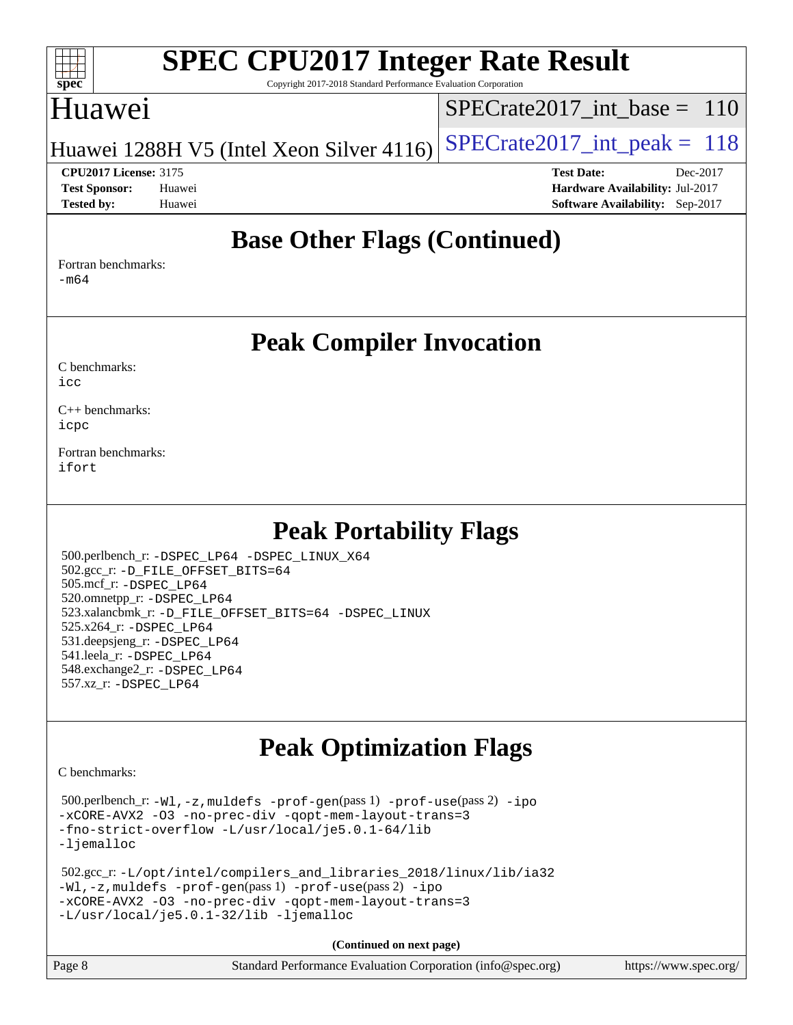

Copyright 2017-2018 Standard Performance Evaluation Corporation

### Huawei

[SPECrate2017\\_int\\_base =](http://www.spec.org/auto/cpu2017/Docs/result-fields.html#SPECrate2017intbase) 110

Huawei 1288H V5 (Intel Xeon Silver 4116) SPECrate  $2017$  int peak = 118

**[Tested by:](http://www.spec.org/auto/cpu2017/Docs/result-fields.html#Testedby)** Huawei **[Software Availability:](http://www.spec.org/auto/cpu2017/Docs/result-fields.html#SoftwareAvailability)** Sep-2017

**[CPU2017 License:](http://www.spec.org/auto/cpu2017/Docs/result-fields.html#CPU2017License)** 3175 **[Test Date:](http://www.spec.org/auto/cpu2017/Docs/result-fields.html#TestDate)** Dec-2017 **[Test Sponsor:](http://www.spec.org/auto/cpu2017/Docs/result-fields.html#TestSponsor)** Huawei **[Hardware Availability:](http://www.spec.org/auto/cpu2017/Docs/result-fields.html#HardwareAvailability)** Jul-2017

**[Base Other Flags \(Continued\)](http://www.spec.org/auto/cpu2017/Docs/result-fields.html#BaseOtherFlags)**

[Fortran benchmarks](http://www.spec.org/auto/cpu2017/Docs/result-fields.html#Fortranbenchmarks): [-m64](http://www.spec.org/cpu2017/results/res2018q1/cpu2017-20180105-02470.flags.html#user_FCbase_intel_intel64_18.0_af43caccfc8ded86e7699f2159af6efc7655f51387b94da716254467f3c01020a5059329e2569e4053f409e7c9202a7efc638f7a6d1ffb3f52dea4a3e31d82ab)

**[Peak Compiler Invocation](http://www.spec.org/auto/cpu2017/Docs/result-fields.html#PeakCompilerInvocation)**

[C benchmarks](http://www.spec.org/auto/cpu2017/Docs/result-fields.html#Cbenchmarks): [icc](http://www.spec.org/cpu2017/results/res2018q1/cpu2017-20180105-02470.flags.html#user_CCpeak_intel_icc_18.0_66fc1ee009f7361af1fbd72ca7dcefbb700085f36577c54f309893dd4ec40d12360134090235512931783d35fd58c0460139e722d5067c5574d8eaf2b3e37e92)

[C++ benchmarks:](http://www.spec.org/auto/cpu2017/Docs/result-fields.html#CXXbenchmarks) [icpc](http://www.spec.org/cpu2017/results/res2018q1/cpu2017-20180105-02470.flags.html#user_CXXpeak_intel_icpc_18.0_c510b6838c7f56d33e37e94d029a35b4a7bccf4766a728ee175e80a419847e808290a9b78be685c44ab727ea267ec2f070ec5dc83b407c0218cded6866a35d07)

[Fortran benchmarks](http://www.spec.org/auto/cpu2017/Docs/result-fields.html#Fortranbenchmarks): [ifort](http://www.spec.org/cpu2017/results/res2018q1/cpu2017-20180105-02470.flags.html#user_FCpeak_intel_ifort_18.0_8111460550e3ca792625aed983ce982f94888b8b503583aa7ba2b8303487b4d8a21a13e7191a45c5fd58ff318f48f9492884d4413fa793fd88dd292cad7027ca)

**[Peak Portability Flags](http://www.spec.org/auto/cpu2017/Docs/result-fields.html#PeakPortabilityFlags)**

 500.perlbench\_r: [-DSPEC\\_LP64](http://www.spec.org/cpu2017/results/res2018q1/cpu2017-20180105-02470.flags.html#b500.perlbench_r_peakPORTABILITY_DSPEC_LP64) [-DSPEC\\_LINUX\\_X64](http://www.spec.org/cpu2017/results/res2018q1/cpu2017-20180105-02470.flags.html#b500.perlbench_r_peakCPORTABILITY_DSPEC_LINUX_X64) 502.gcc\_r: [-D\\_FILE\\_OFFSET\\_BITS=64](http://www.spec.org/cpu2017/results/res2018q1/cpu2017-20180105-02470.flags.html#user_peakPORTABILITY502_gcc_r_file_offset_bits_64_5ae949a99b284ddf4e95728d47cb0843d81b2eb0e18bdfe74bbf0f61d0b064f4bda2f10ea5eb90e1dcab0e84dbc592acfc5018bc955c18609f94ddb8d550002c) 505.mcf\_r: [-DSPEC\\_LP64](http://www.spec.org/cpu2017/results/res2018q1/cpu2017-20180105-02470.flags.html#suite_peakPORTABILITY505_mcf_r_DSPEC_LP64) 520.omnetpp\_r: [-DSPEC\\_LP64](http://www.spec.org/cpu2017/results/res2018q1/cpu2017-20180105-02470.flags.html#suite_peakPORTABILITY520_omnetpp_r_DSPEC_LP64) 523.xalancbmk\_r: [-D\\_FILE\\_OFFSET\\_BITS=64](http://www.spec.org/cpu2017/results/res2018q1/cpu2017-20180105-02470.flags.html#user_peakPORTABILITY523_xalancbmk_r_file_offset_bits_64_5ae949a99b284ddf4e95728d47cb0843d81b2eb0e18bdfe74bbf0f61d0b064f4bda2f10ea5eb90e1dcab0e84dbc592acfc5018bc955c18609f94ddb8d550002c) [-DSPEC\\_LINUX](http://www.spec.org/cpu2017/results/res2018q1/cpu2017-20180105-02470.flags.html#b523.xalancbmk_r_peakCXXPORTABILITY_DSPEC_LINUX) 525.x264\_r: [-DSPEC\\_LP64](http://www.spec.org/cpu2017/results/res2018q1/cpu2017-20180105-02470.flags.html#suite_peakPORTABILITY525_x264_r_DSPEC_LP64) 531.deepsjeng\_r: [-DSPEC\\_LP64](http://www.spec.org/cpu2017/results/res2018q1/cpu2017-20180105-02470.flags.html#suite_peakPORTABILITY531_deepsjeng_r_DSPEC_LP64) 541.leela\_r: [-DSPEC\\_LP64](http://www.spec.org/cpu2017/results/res2018q1/cpu2017-20180105-02470.flags.html#suite_peakPORTABILITY541_leela_r_DSPEC_LP64) 548.exchange2\_r: [-DSPEC\\_LP64](http://www.spec.org/cpu2017/results/res2018q1/cpu2017-20180105-02470.flags.html#suite_peakPORTABILITY548_exchange2_r_DSPEC_LP64) 557.xz\_r: [-DSPEC\\_LP64](http://www.spec.org/cpu2017/results/res2018q1/cpu2017-20180105-02470.flags.html#suite_peakPORTABILITY557_xz_r_DSPEC_LP64)

## **[Peak Optimization Flags](http://www.spec.org/auto/cpu2017/Docs/result-fields.html#PeakOptimizationFlags)**

[C benchmarks](http://www.spec.org/auto/cpu2017/Docs/result-fields.html#Cbenchmarks):

 500.perlbench\_r: [-Wl,-z,muldefs](http://www.spec.org/cpu2017/results/res2018q1/cpu2017-20180105-02470.flags.html#user_peakEXTRA_LDFLAGS500_perlbench_r_link_force_multiple1_b4cbdb97b34bdee9ceefcfe54f4c8ea74255f0b02a4b23e853cdb0e18eb4525ac79b5a88067c842dd0ee6996c24547a27a4b99331201badda8798ef8a743f577) [-prof-gen](http://www.spec.org/cpu2017/results/res2018q1/cpu2017-20180105-02470.flags.html#user_peakPASS1_CFLAGSPASS1_LDFLAGS500_perlbench_r_prof_gen_5aa4926d6013ddb2a31985c654b3eb18169fc0c6952a63635c234f711e6e63dd76e94ad52365559451ec499a2cdb89e4dc58ba4c67ef54ca681ffbe1461d6b36)(pass 1) [-prof-use](http://www.spec.org/cpu2017/results/res2018q1/cpu2017-20180105-02470.flags.html#user_peakPASS2_CFLAGSPASS2_LDFLAGS500_perlbench_r_prof_use_1a21ceae95f36a2b53c25747139a6c16ca95bd9def2a207b4f0849963b97e94f5260e30a0c64f4bb623698870e679ca08317ef8150905d41bd88c6f78df73f19)(pass 2) [-ipo](http://www.spec.org/cpu2017/results/res2018q1/cpu2017-20180105-02470.flags.html#user_peakPASS1_COPTIMIZEPASS2_COPTIMIZE500_perlbench_r_f-ipo) [-xCORE-AVX2](http://www.spec.org/cpu2017/results/res2018q1/cpu2017-20180105-02470.flags.html#user_peakPASS2_COPTIMIZE500_perlbench_r_f-xCORE-AVX2) [-O3](http://www.spec.org/cpu2017/results/res2018q1/cpu2017-20180105-02470.flags.html#user_peakPASS1_COPTIMIZEPASS2_COPTIMIZE500_perlbench_r_f-O3) [-no-prec-div](http://www.spec.org/cpu2017/results/res2018q1/cpu2017-20180105-02470.flags.html#user_peakPASS1_COPTIMIZEPASS2_COPTIMIZE500_perlbench_r_f-no-prec-div) [-qopt-mem-layout-trans=3](http://www.spec.org/cpu2017/results/res2018q1/cpu2017-20180105-02470.flags.html#user_peakPASS1_COPTIMIZEPASS2_COPTIMIZE500_perlbench_r_f-qopt-mem-layout-trans_de80db37974c74b1f0e20d883f0b675c88c3b01e9d123adea9b28688d64333345fb62bc4a798493513fdb68f60282f9a726aa07f478b2f7113531aecce732043) [-fno-strict-overflow](http://www.spec.org/cpu2017/results/res2018q1/cpu2017-20180105-02470.flags.html#user_peakEXTRA_OPTIMIZE500_perlbench_r_f-fno-strict-overflow) [-L/usr/local/je5.0.1-64/lib](http://www.spec.org/cpu2017/results/res2018q1/cpu2017-20180105-02470.flags.html#user_peakEXTRA_LIBS500_perlbench_r_jemalloc_link_path64_4b10a636b7bce113509b17f3bd0d6226c5fb2346b9178c2d0232c14f04ab830f976640479e5c33dc2bcbbdad86ecfb6634cbbd4418746f06f368b512fced5394) [-ljemalloc](http://www.spec.org/cpu2017/results/res2018q1/cpu2017-20180105-02470.flags.html#user_peakEXTRA_LIBS500_perlbench_r_jemalloc_link_lib_d1249b907c500fa1c0672f44f562e3d0f79738ae9e3c4a9c376d49f265a04b9c99b167ecedbf6711b3085be911c67ff61f150a17b3472be731631ba4d0471706)

 502.gcc\_r: [-L/opt/intel/compilers\\_and\\_libraries\\_2018/linux/lib/ia32](http://www.spec.org/cpu2017/results/res2018q1/cpu2017-20180105-02470.flags.html#user_peakCCLD502_gcc_r_Enable-32bit-runtime_af243bdb1d79e4c7a4f720bf8275e627de2ecd461de63307bc14cef0633fde3cd7bb2facb32dcc8be9566045fb55d40ce2b72b725f73827aa7833441b71b9343) [-Wl,-z,muldefs](http://www.spec.org/cpu2017/results/res2018q1/cpu2017-20180105-02470.flags.html#user_peakEXTRA_LDFLAGS502_gcc_r_link_force_multiple1_b4cbdb97b34bdee9ceefcfe54f4c8ea74255f0b02a4b23e853cdb0e18eb4525ac79b5a88067c842dd0ee6996c24547a27a4b99331201badda8798ef8a743f577) [-prof-gen](http://www.spec.org/cpu2017/results/res2018q1/cpu2017-20180105-02470.flags.html#user_peakPASS1_CFLAGSPASS1_LDFLAGS502_gcc_r_prof_gen_5aa4926d6013ddb2a31985c654b3eb18169fc0c6952a63635c234f711e6e63dd76e94ad52365559451ec499a2cdb89e4dc58ba4c67ef54ca681ffbe1461d6b36)(pass 1) [-prof-use](http://www.spec.org/cpu2017/results/res2018q1/cpu2017-20180105-02470.flags.html#user_peakPASS2_CFLAGSPASS2_LDFLAGS502_gcc_r_prof_use_1a21ceae95f36a2b53c25747139a6c16ca95bd9def2a207b4f0849963b97e94f5260e30a0c64f4bb623698870e679ca08317ef8150905d41bd88c6f78df73f19)(pass 2) [-ipo](http://www.spec.org/cpu2017/results/res2018q1/cpu2017-20180105-02470.flags.html#user_peakPASS1_COPTIMIZEPASS2_COPTIMIZE502_gcc_r_f-ipo) [-xCORE-AVX2](http://www.spec.org/cpu2017/results/res2018q1/cpu2017-20180105-02470.flags.html#user_peakPASS2_COPTIMIZE502_gcc_r_f-xCORE-AVX2) [-O3](http://www.spec.org/cpu2017/results/res2018q1/cpu2017-20180105-02470.flags.html#user_peakPASS1_COPTIMIZEPASS2_COPTIMIZE502_gcc_r_f-O3) [-no-prec-div](http://www.spec.org/cpu2017/results/res2018q1/cpu2017-20180105-02470.flags.html#user_peakPASS1_COPTIMIZEPASS2_COPTIMIZE502_gcc_r_f-no-prec-div) [-qopt-mem-layout-trans=3](http://www.spec.org/cpu2017/results/res2018q1/cpu2017-20180105-02470.flags.html#user_peakPASS1_COPTIMIZEPASS2_COPTIMIZE502_gcc_r_f-qopt-mem-layout-trans_de80db37974c74b1f0e20d883f0b675c88c3b01e9d123adea9b28688d64333345fb62bc4a798493513fdb68f60282f9a726aa07f478b2f7113531aecce732043) [-L/usr/local/je5.0.1-32/lib](http://www.spec.org/cpu2017/results/res2018q1/cpu2017-20180105-02470.flags.html#user_peakEXTRA_LIBS502_gcc_r_jemalloc_link_path32_e29f22e8e6c17053bbc6a0971f5a9c01a601a06bb1a59df2084b77a2fe0a2995b64fd4256feaeea39eeba3aae142e96e2b2b0a28974019c0c0c88139a84f900a) [-ljemalloc](http://www.spec.org/cpu2017/results/res2018q1/cpu2017-20180105-02470.flags.html#user_peakEXTRA_LIBS502_gcc_r_jemalloc_link_lib_d1249b907c500fa1c0672f44f562e3d0f79738ae9e3c4a9c376d49f265a04b9c99b167ecedbf6711b3085be911c67ff61f150a17b3472be731631ba4d0471706)

**(Continued on next page)**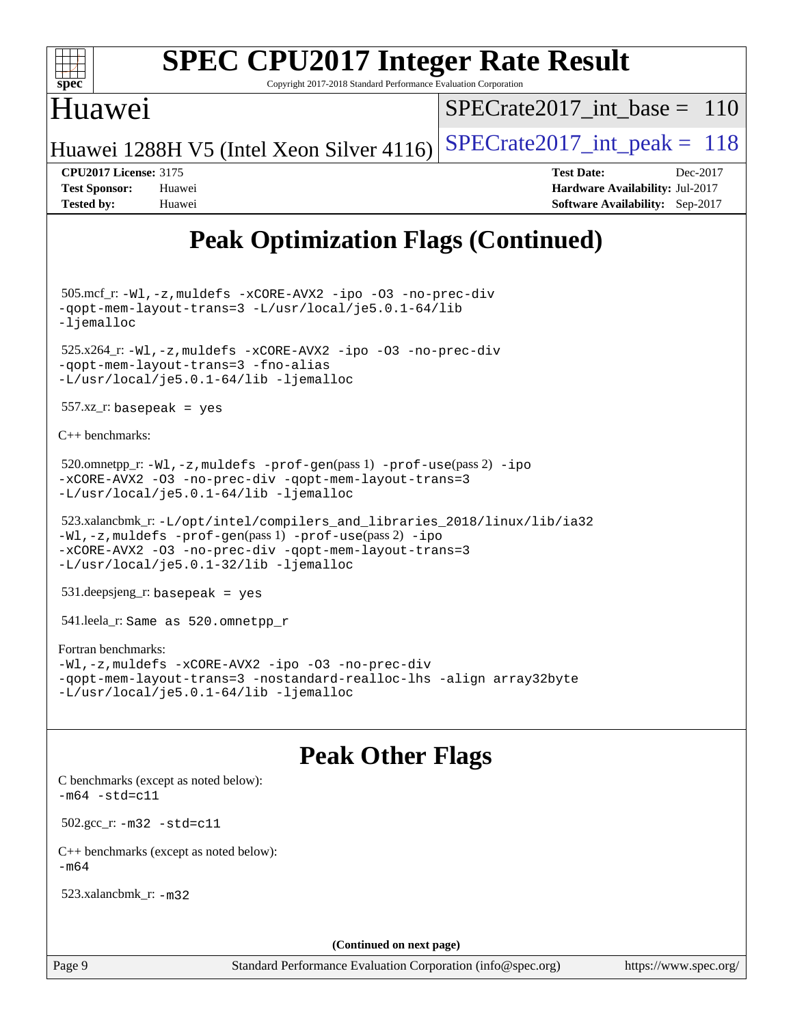

Copyright 2017-2018 Standard Performance Evaluation Corporation

### Huawei

[SPECrate2017\\_int\\_base =](http://www.spec.org/auto/cpu2017/Docs/result-fields.html#SPECrate2017intbase) 110

Huawei 1288H V5 (Intel Xeon Silver 4116) SPECrate  $2017$  int peak = 118

**[CPU2017 License:](http://www.spec.org/auto/cpu2017/Docs/result-fields.html#CPU2017License)** 3175 **[Test Date:](http://www.spec.org/auto/cpu2017/Docs/result-fields.html#TestDate)** Dec-2017 **[Test Sponsor:](http://www.spec.org/auto/cpu2017/Docs/result-fields.html#TestSponsor)** Huawei **[Hardware Availability:](http://www.spec.org/auto/cpu2017/Docs/result-fields.html#HardwareAvailability)** Jul-2017 **[Tested by:](http://www.spec.org/auto/cpu2017/Docs/result-fields.html#Testedby)** Huawei **[Software Availability:](http://www.spec.org/auto/cpu2017/Docs/result-fields.html#SoftwareAvailability)** Sep-2017

## **[Peak Optimization Flags \(Continued\)](http://www.spec.org/auto/cpu2017/Docs/result-fields.html#PeakOptimizationFlags)**

 505.mcf\_r: [-Wl,-z,muldefs](http://www.spec.org/cpu2017/results/res2018q1/cpu2017-20180105-02470.flags.html#user_peakEXTRA_LDFLAGS505_mcf_r_link_force_multiple1_b4cbdb97b34bdee9ceefcfe54f4c8ea74255f0b02a4b23e853cdb0e18eb4525ac79b5a88067c842dd0ee6996c24547a27a4b99331201badda8798ef8a743f577) [-xCORE-AVX2](http://www.spec.org/cpu2017/results/res2018q1/cpu2017-20180105-02470.flags.html#user_peakCOPTIMIZE505_mcf_r_f-xCORE-AVX2) [-ipo](http://www.spec.org/cpu2017/results/res2018q1/cpu2017-20180105-02470.flags.html#user_peakCOPTIMIZE505_mcf_r_f-ipo) [-O3](http://www.spec.org/cpu2017/results/res2018q1/cpu2017-20180105-02470.flags.html#user_peakCOPTIMIZE505_mcf_r_f-O3) [-no-prec-div](http://www.spec.org/cpu2017/results/res2018q1/cpu2017-20180105-02470.flags.html#user_peakCOPTIMIZE505_mcf_r_f-no-prec-div) [-qopt-mem-layout-trans=3](http://www.spec.org/cpu2017/results/res2018q1/cpu2017-20180105-02470.flags.html#user_peakCOPTIMIZE505_mcf_r_f-qopt-mem-layout-trans_de80db37974c74b1f0e20d883f0b675c88c3b01e9d123adea9b28688d64333345fb62bc4a798493513fdb68f60282f9a726aa07f478b2f7113531aecce732043) [-L/usr/local/je5.0.1-64/lib](http://www.spec.org/cpu2017/results/res2018q1/cpu2017-20180105-02470.flags.html#user_peakEXTRA_LIBS505_mcf_r_jemalloc_link_path64_4b10a636b7bce113509b17f3bd0d6226c5fb2346b9178c2d0232c14f04ab830f976640479e5c33dc2bcbbdad86ecfb6634cbbd4418746f06f368b512fced5394) [-ljemalloc](http://www.spec.org/cpu2017/results/res2018q1/cpu2017-20180105-02470.flags.html#user_peakEXTRA_LIBS505_mcf_r_jemalloc_link_lib_d1249b907c500fa1c0672f44f562e3d0f79738ae9e3c4a9c376d49f265a04b9c99b167ecedbf6711b3085be911c67ff61f150a17b3472be731631ba4d0471706)

 525.x264\_r: [-Wl,-z,muldefs](http://www.spec.org/cpu2017/results/res2018q1/cpu2017-20180105-02470.flags.html#user_peakEXTRA_LDFLAGS525_x264_r_link_force_multiple1_b4cbdb97b34bdee9ceefcfe54f4c8ea74255f0b02a4b23e853cdb0e18eb4525ac79b5a88067c842dd0ee6996c24547a27a4b99331201badda8798ef8a743f577) [-xCORE-AVX2](http://www.spec.org/cpu2017/results/res2018q1/cpu2017-20180105-02470.flags.html#user_peakCOPTIMIZE525_x264_r_f-xCORE-AVX2) [-ipo](http://www.spec.org/cpu2017/results/res2018q1/cpu2017-20180105-02470.flags.html#user_peakCOPTIMIZE525_x264_r_f-ipo) [-O3](http://www.spec.org/cpu2017/results/res2018q1/cpu2017-20180105-02470.flags.html#user_peakCOPTIMIZE525_x264_r_f-O3) [-no-prec-div](http://www.spec.org/cpu2017/results/res2018q1/cpu2017-20180105-02470.flags.html#user_peakCOPTIMIZE525_x264_r_f-no-prec-div) [-qopt-mem-layout-trans=3](http://www.spec.org/cpu2017/results/res2018q1/cpu2017-20180105-02470.flags.html#user_peakCOPTIMIZE525_x264_r_f-qopt-mem-layout-trans_de80db37974c74b1f0e20d883f0b675c88c3b01e9d123adea9b28688d64333345fb62bc4a798493513fdb68f60282f9a726aa07f478b2f7113531aecce732043) [-fno-alias](http://www.spec.org/cpu2017/results/res2018q1/cpu2017-20180105-02470.flags.html#user_peakEXTRA_OPTIMIZE525_x264_r_f-no-alias_77dbac10d91cbfe898fbf4a29d1b29b694089caa623bdd1baccc9957d4edbe8d106c0b357e2748a65b44fc9e83d78098bb898077f3fe92f9faf24f7bd4a07ed7) [-L/usr/local/je5.0.1-64/lib](http://www.spec.org/cpu2017/results/res2018q1/cpu2017-20180105-02470.flags.html#user_peakEXTRA_LIBS525_x264_r_jemalloc_link_path64_4b10a636b7bce113509b17f3bd0d6226c5fb2346b9178c2d0232c14f04ab830f976640479e5c33dc2bcbbdad86ecfb6634cbbd4418746f06f368b512fced5394) [-ljemalloc](http://www.spec.org/cpu2017/results/res2018q1/cpu2017-20180105-02470.flags.html#user_peakEXTRA_LIBS525_x264_r_jemalloc_link_lib_d1249b907c500fa1c0672f44f562e3d0f79738ae9e3c4a9c376d49f265a04b9c99b167ecedbf6711b3085be911c67ff61f150a17b3472be731631ba4d0471706)

557.xz\_r: basepeak = yes

[C++ benchmarks:](http://www.spec.org/auto/cpu2017/Docs/result-fields.html#CXXbenchmarks)

```
520.omnetpp_r:-Wl-prof-use-ipo
-xCORE-AVX2 -O3 -no-prec-div -qopt-mem-layout-trans=3
-L/usr/local/je5.0.1-64/lib -ljemalloc
```

```
 523.xalancbmk_r: -L/opt/intel/compilers_and_libraries_2018/linux/lib/ia32
-Wl,-z,muldefs -prof-gen(pass 1) -prof-use(pass 2) -ipo
-xCORE-AVX2 -O3 -no-prec-div -qopt-mem-layout-trans=3
-L/usr/local/je5.0.1-32/lib -ljemalloc
```
531.deepsjeng\_r: basepeak = yes

541.leela\_r: Same as 520.omnetpp\_r

#### [Fortran benchmarks](http://www.spec.org/auto/cpu2017/Docs/result-fields.html#Fortranbenchmarks):

```
-Wl,-z,muldefs -xCORE-AVX2 -ipo -O3 -no-prec-div
-qopt-mem-layout-trans=3 -nostandard-realloc-lhs -align array32byte
-L/usr/local/je5.0.1-64/lib -ljemalloc
```
### **[Peak Other Flags](http://www.spec.org/auto/cpu2017/Docs/result-fields.html#PeakOtherFlags)**

[C benchmarks \(except as noted below\)](http://www.spec.org/auto/cpu2017/Docs/result-fields.html#Cbenchmarksexceptasnotedbelow):  $-m64 - std= c11$  $-m64 - std= c11$  502.gcc\_r: [-m32](http://www.spec.org/cpu2017/results/res2018q1/cpu2017-20180105-02470.flags.html#user_peakCCLD502_gcc_r_intel_ia32_18.0_2666f1173eb60787016b673bfe1358e27016ef7649ea4884b7bc6187fd89dc221d14632e22638cde1c647a518de97358ab15d4ad098ee4e19a8b28d0c25e14bf) [-std=c11](http://www.spec.org/cpu2017/results/res2018q1/cpu2017-20180105-02470.flags.html#user_peakCCLD502_gcc_r_intel_compiler_c11_mode_0e1c27790398a4642dfca32ffe6c27b5796f9c2d2676156f2e42c9c44eaad0c049b1cdb667a270c34d979996257aeb8fc440bfb01818dbc9357bd9d174cb8524) [C++ benchmarks \(except as noted below\):](http://www.spec.org/auto/cpu2017/Docs/result-fields.html#CXXbenchmarksexceptasnotedbelow)  $-m64$ 523.xalancbmk\_r: [-m32](http://www.spec.org/cpu2017/results/res2018q1/cpu2017-20180105-02470.flags.html#user_peakCXXLD523_xalancbmk_r_intel_ia32_18.0_2666f1173eb60787016b673bfe1358e27016ef7649ea4884b7bc6187fd89dc221d14632e22638cde1c647a518de97358ab15d4ad098ee4e19a8b28d0c25e14bf)

**(Continued on next page)**